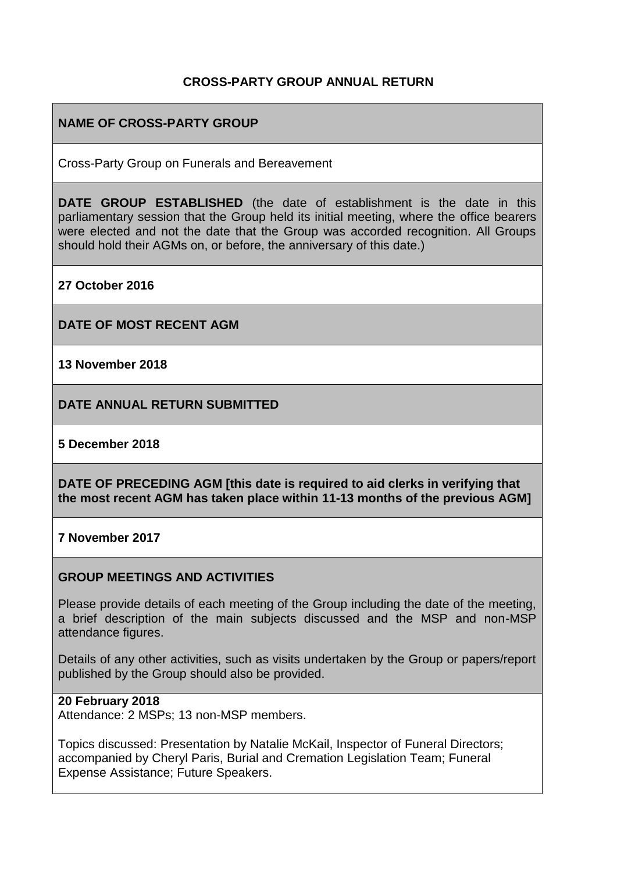# **CROSS-PARTY GROUP ANNUAL RETURN**

# **NAME OF CROSS-PARTY GROUP**

Cross-Party Group on Funerals and Bereavement

**DATE GROUP ESTABLISHED** (the date of establishment is the date in this parliamentary session that the Group held its initial meeting, where the office bearers were elected and not the date that the Group was accorded recognition. All Groups should hold their AGMs on, or before, the anniversary of this date.)

**27 October 2016**

**DATE OF MOST RECENT AGM**

**13 November 2018**

**DATE ANNUAL RETURN SUBMITTED**

#### **5 December 2018**

**DATE OF PRECEDING AGM [this date is required to aid clerks in verifying that the most recent AGM has taken place within 11-13 months of the previous AGM]**

#### **7 November 2017**

### **GROUP MEETINGS AND ACTIVITIES**

Please provide details of each meeting of the Group including the date of the meeting, a brief description of the main subjects discussed and the MSP and non-MSP attendance figures.

Details of any other activities, such as visits undertaken by the Group or papers/report published by the Group should also be provided.

#### **20 February 2018**

Attendance: 2 MSPs; 13 non-MSP members.

Topics discussed: Presentation by Natalie McKail, Inspector of Funeral Directors; accompanied by Cheryl Paris, Burial and Cremation Legislation Team; Funeral Expense Assistance; Future Speakers.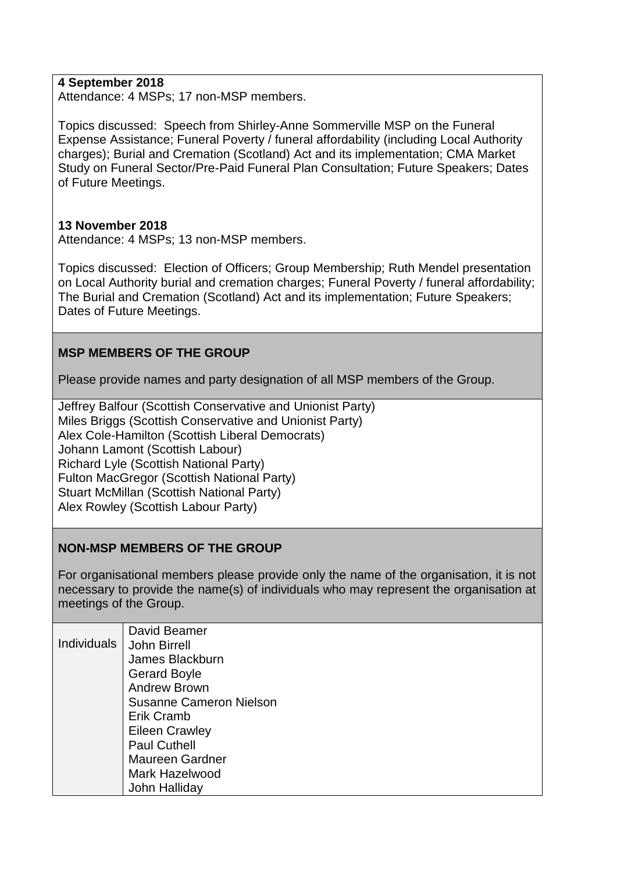## **4 September 2018**

Attendance: 4 MSPs; 17 non-MSP members.

Topics discussed: Speech from Shirley-Anne Sommerville MSP on the Funeral Expense Assistance; Funeral Poverty / funeral affordability (including Local Authority charges); Burial and Cremation (Scotland) Act and its implementation; CMA Market Study on Funeral Sector/Pre-Paid Funeral Plan Consultation; Future Speakers; Dates of Future Meetings.

### **13 November 2018**

Attendance: 4 MSPs; 13 non-MSP members.

Topics discussed: Election of Officers; Group Membership; Ruth Mendel presentation on Local Authority burial and cremation charges; Funeral Poverty / funeral affordability; The Burial and Cremation (Scotland) Act and its implementation; Future Speakers; Dates of Future Meetings.

## **MSP MEMBERS OF THE GROUP**

Please provide names and party designation of all MSP members of the Group.

Jeffrey Balfour (Scottish Conservative and Unionist Party) Miles Briggs (Scottish Conservative and Unionist Party) Alex Cole-Hamilton (Scottish Liberal Democrats) Johann Lamont (Scottish Labour) Richard Lyle (Scottish National Party) Fulton MacGregor (Scottish National Party) Stuart McMillan (Scottish National Party) Alex Rowley (Scottish Labour Party)

### **NON-MSP MEMBERS OF THE GROUP**

For organisational members please provide only the name of the organisation, it is not necessary to provide the name(s) of individuals who may represent the organisation at meetings of the Group.

|             | David Beamer                   |
|-------------|--------------------------------|
| Individuals | John Birrell                   |
|             | James Blackburn                |
|             | <b>Gerard Boyle</b>            |
|             | <b>Andrew Brown</b>            |
|             | <b>Susanne Cameron Nielson</b> |
|             | Erik Cramb                     |
|             | <b>Eileen Crawley</b>          |
|             | <b>Paul Cuthell</b>            |
|             | <b>Maureen Gardner</b>         |
|             | Mark Hazelwood                 |
|             | John Halliday                  |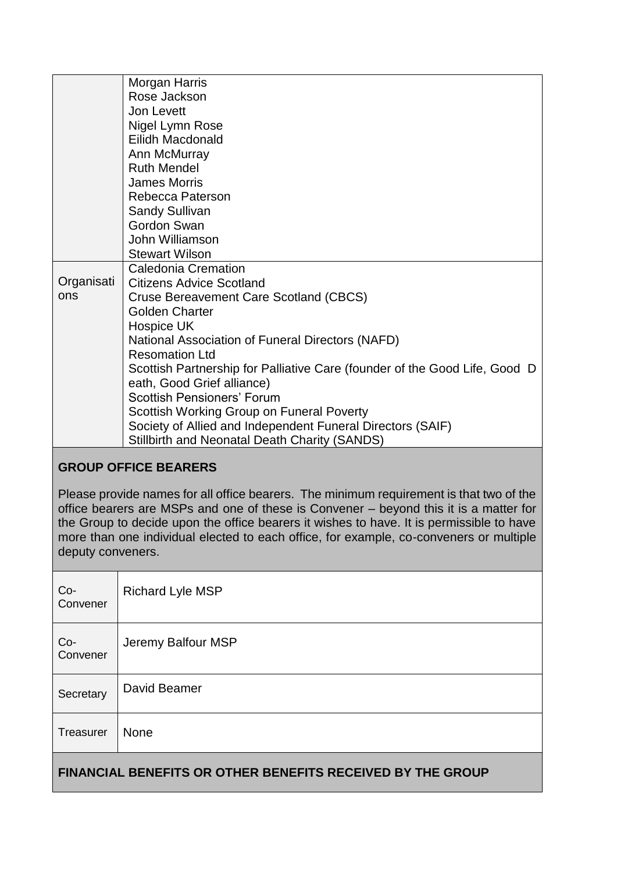|            | Morgan Harris                                                              |
|------------|----------------------------------------------------------------------------|
|            | Rose Jackson                                                               |
|            | Jon Levett                                                                 |
|            | Nigel Lymn Rose                                                            |
|            | Eilidh Macdonald                                                           |
|            | Ann McMurray                                                               |
|            | <b>Ruth Mendel</b>                                                         |
|            | <b>James Morris</b>                                                        |
|            | Rebecca Paterson                                                           |
|            | <b>Sandy Sullivan</b>                                                      |
|            | Gordon Swan                                                                |
|            | John Williamson                                                            |
|            | <b>Stewart Wilson</b>                                                      |
|            | <b>Caledonia Cremation</b>                                                 |
| Organisati | <b>Citizens Advice Scotland</b>                                            |
| ons        | <b>Cruse Bereavement Care Scotland (CBCS)</b>                              |
|            | <b>Golden Charter</b>                                                      |
|            | Hospice UK                                                                 |
|            | National Association of Funeral Directors (NAFD)                           |
|            | <b>Resomation Ltd</b>                                                      |
|            | Scottish Partnership for Palliative Care (founder of the Good Life, Good D |
|            | eath, Good Grief alliance)                                                 |
|            | <b>Scottish Pensioners' Forum</b>                                          |
|            | Scottish Working Group on Funeral Poverty                                  |
|            | Society of Allied and Independent Funeral Directors (SAIF)                 |
|            | <b>Stillbirth and Neonatal Death Charity (SANDS)</b>                       |
|            |                                                                            |

# **GROUP OFFICE BEARERS**

Please provide names for all office bearers. The minimum requirement is that two of the office bearers are MSPs and one of these is Convener – beyond this it is a matter for the Group to decide upon the office bearers it wishes to have. It is permissible to have more than one individual elected to each office, for example, co-conveners or multiple deputy conveners.

| <b>FINANCIAL BENEFITS OR OTHER BENEFITS RECEIVED BY THE GROUP</b> |                         |  |
|-------------------------------------------------------------------|-------------------------|--|
| Treasurer                                                         | None                    |  |
| Secretary                                                         | David Beamer            |  |
| Co-<br>Convener                                                   | Jeremy Balfour MSP      |  |
| $Co-$<br>Convener                                                 | <b>Richard Lyle MSP</b> |  |